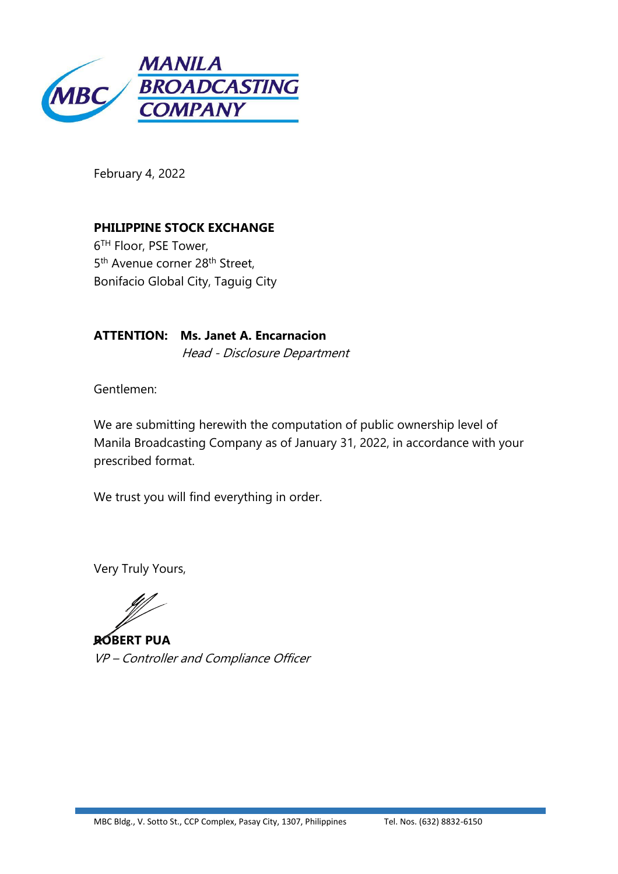

February 4, 2022

**PHILIPPINE STOCK EXCHANGE** 6 TH Floor, PSE Tower, 5<sup>th</sup> Avenue corner 28<sup>th</sup> Street, Bonifacio Global City, Taguig City

**ATTENTION: Ms. Janet A. Encarnacion** Head - Disclosure Department

Gentlemen:

We are submitting herewith the computation of public ownership level of Manila Broadcasting Company as of January 31, 2022, in accordance with your prescribed format.

We trust you will find everything in order.

Very Truly Yours,

**ROBERT PUA** VP – Controller and Compliance Officer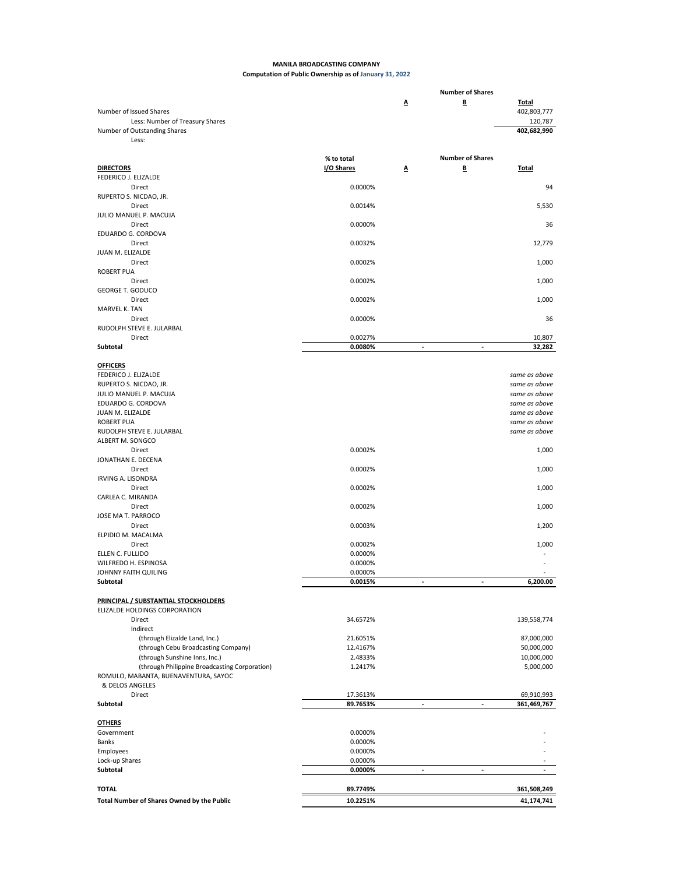## **MANILA BROADCASTING COMPANY Computation of Public Ownership as of January 31, 2022**

|                                                                          |                    |    | <b>Number of Shares</b>  |                                |
|--------------------------------------------------------------------------|--------------------|----|--------------------------|--------------------------------|
| Number of Issued Shares                                                  |                    | Δ  | B                        | <b>Total</b><br>402,803,777    |
| Less: Number of Treasury Shares<br>Number of Outstanding Shares<br>Less: |                    |    |                          | 120,787<br>402,682,990         |
|                                                                          |                    |    |                          |                                |
|                                                                          | % to total         |    | <b>Number of Shares</b>  |                                |
| <b>DIRECTORS</b>                                                         | I/O Shares         | Δ  | B                        | <b>Total</b>                   |
| FEDERICO J. ELIZALDE                                                     |                    |    |                          |                                |
| Direct                                                                   | 0.0000%            |    |                          | 94                             |
| RUPERTO S. NICDAO, JR.<br>Direct                                         | 0.0014%            |    |                          | 5,530                          |
| JULIO MANUEL P. MACUJA                                                   |                    |    |                          |                                |
| Direct                                                                   | 0.0000%            |    |                          | 36                             |
| EDUARDO G. CORDOVA                                                       |                    |    |                          |                                |
| Direct                                                                   | 0.0032%            |    |                          | 12,779                         |
| JUAN M. ELIZALDE                                                         |                    |    |                          |                                |
| Direct                                                                   | 0.0002%            |    |                          | 1,000                          |
| <b>ROBERT PUA</b>                                                        |                    |    |                          |                                |
| Direct<br><b>GEORGE T. GODUCO</b>                                        | 0.0002%            |    |                          | 1,000                          |
| Direct                                                                   | 0.0002%            |    |                          | 1,000                          |
| MARVEL K. TAN                                                            |                    |    |                          |                                |
| Direct                                                                   | 0.0000%            |    |                          | 36                             |
| RUDOLPH STEVE E. JULARBAL                                                |                    |    |                          |                                |
| Direct                                                                   | 0.0027%            |    |                          | 10,807                         |
| Subtotal                                                                 | 0.0080%            | ÷, | ÷                        | 32,282                         |
|                                                                          |                    |    |                          |                                |
| <b>OFFICERS</b>                                                          |                    |    |                          |                                |
| FEDERICO J. ELIZALDE                                                     |                    |    |                          | same as above                  |
| RUPERTO S. NICDAO, JR.                                                   |                    |    |                          | same as above                  |
| JULIO MANUEL P. MACUJA                                                   |                    |    |                          | same as above                  |
| EDUARDO G. CORDOVA                                                       |                    |    |                          | same as above                  |
| JUAN M. ELIZALDE                                                         |                    |    |                          | same as above                  |
| <b>ROBERT PUA</b><br>RUDOLPH STEVE E. JULARBAL                           |                    |    |                          | same as above<br>same as above |
| ALBERT M. SONGCO                                                         |                    |    |                          |                                |
| Direct                                                                   | 0.0002%            |    |                          | 1,000                          |
| JONATHAN E. DECENA                                                       |                    |    |                          |                                |
| Direct                                                                   | 0.0002%            |    |                          | 1,000                          |
| <b>IRVING A. LISONDRA</b>                                                |                    |    |                          |                                |
| <b>Direct</b>                                                            | 0.0002%            |    |                          | 1,000                          |
| CARLEA C. MIRANDA                                                        |                    |    |                          |                                |
| Direct                                                                   | 0.0002%            |    |                          | 1,000                          |
| JOSE MA T. PARROCO                                                       |                    |    |                          |                                |
| Direct                                                                   | 0.0003%            |    |                          | 1,200                          |
| ELPIDIO M. MACALMA                                                       |                    |    |                          |                                |
| Direct                                                                   | 0.0002%            |    |                          | 1,000                          |
| ELLEN C. FULLIDO                                                         | 0.0000%            |    |                          |                                |
| WILFREDO H. ESPINOSA                                                     | 0.0000%            |    |                          |                                |
| JOHNNY FAITH QUILING<br>Subtotal                                         | 0.0000%<br>0.0015% |    |                          | 6.200.00                       |
|                                                                          |                    |    |                          |                                |
| PRINCIPAL / SUBSTANTIAL STOCKHOLDERS                                     |                    |    |                          |                                |
| ELIZALDE HOLDINGS CORPORATION                                            |                    |    |                          |                                |
| Direct                                                                   | 34.6572%           |    |                          | 139,558,774                    |
| Indirect                                                                 |                    |    |                          |                                |
| (through Elizalde Land, Inc.)                                            | 21.6051%           |    |                          | 87,000,000                     |
| (through Cebu Broadcasting Company)                                      | 12.4167%           |    |                          | 50,000,000                     |
| (through Sunshine Inns, Inc.)                                            | 2.4833%            |    |                          | 10,000,000                     |
| (through Philippine Broadcasting Corporation)                            | 1.2417%            |    |                          | 5,000,000                      |
| ROMULO, MABANTA, BUENAVENTURA, SAYOC                                     |                    |    |                          |                                |
| & DELOS ANGELES                                                          |                    |    |                          |                                |
| Direct                                                                   | 17.3613%           |    |                          | 69,910,993                     |
| Subtotal                                                                 | 89.7653%           | ÷, |                          | 361,469,767                    |
| <b>OTHERS</b>                                                            |                    |    |                          |                                |
| Government                                                               | 0.0000%            |    |                          |                                |
| Banks                                                                    | 0.0000%            |    |                          |                                |
| Employees                                                                | 0.0000%            |    |                          |                                |
| Lock-up Shares                                                           | 0.0000%            |    |                          |                                |
| Subtotal                                                                 | 0.0000%            | ٠  | $\overline{\phantom{a}}$ | ٠                              |
|                                                                          |                    |    |                          |                                |
| <b>TOTAL</b>                                                             | 89.7749%           |    |                          | 361,508,249                    |
| Total Number of Shares Owned by the Public                               | 10.2251%           |    |                          | 41,174,741                     |